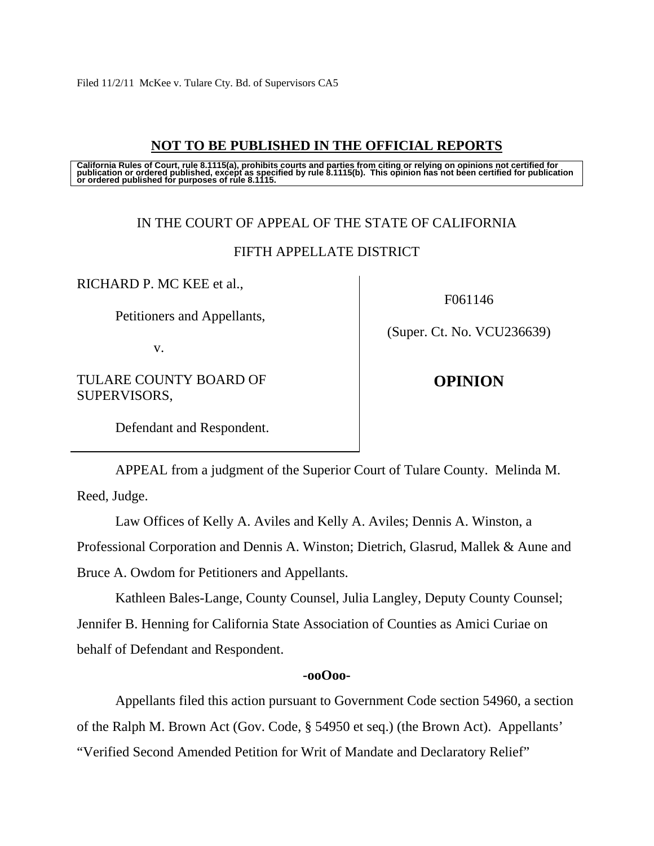# **NOT TO BE PUBLISHED IN THE OFFICIAL REPORTS**

California Rules of Court, rule 8.1115(a), prohibits courts and parties from citing or relying on opinions not certified for<br>publication or ordered published, except as specified by rule 8.1115(b). This opinion has not be

## IN THE COURT OF APPEAL OF THE STATE OF CALIFORNIA

## FIFTH APPELLATE DISTRICT

RICHARD P. MC KEE et al.,

Petitioners and Appellants,

v.

TULARE COUNTY BOARD OF SUPERVISORS,

F061146

(Super. Ct. No. VCU236639)

**OPINION**

Defendant and Respondent.

 APPEAL from a judgment of the Superior Court of Tulare County. Melinda M. Reed, Judge.

Law Offices of Kelly A. Aviles and Kelly A. Aviles; Dennis A. Winston, a

Professional Corporation and Dennis A. Winston; Dietrich, Glasrud, Mallek & Aune and Bruce A. Owdom for Petitioners and Appellants.

 Kathleen Bales-Lange, County Counsel, Julia Langley, Deputy County Counsel; Jennifer B. Henning for California State Association of Counties as Amici Curiae on behalf of Defendant and Respondent.

### **-ooOoo-**

 Appellants filed this action pursuant to Government Code section 54960, a section of the Ralph M. Brown Act (Gov. Code, § 54950 et seq.) (the Brown Act). Appellants' "Verified Second Amended Petition for Writ of Mandate and Declaratory Relief"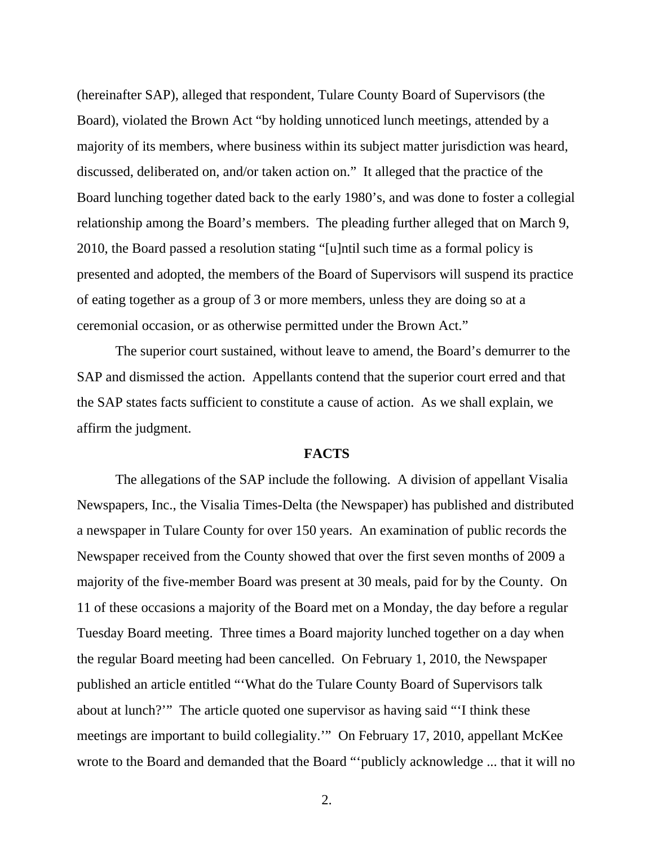(hereinafter SAP), alleged that respondent, Tulare County Board of Supervisors (the Board), violated the Brown Act "by holding unnoticed lunch meetings, attended by a majority of its members, where business within its subject matter jurisdiction was heard, discussed, deliberated on, and/or taken action on." It alleged that the practice of the Board lunching together dated back to the early 1980's, and was done to foster a collegial relationship among the Board's members. The pleading further alleged that on March 9, 2010, the Board passed a resolution stating "[u]ntil such time as a formal policy is presented and adopted, the members of the Board of Supervisors will suspend its practice of eating together as a group of 3 or more members, unless they are doing so at a ceremonial occasion, or as otherwise permitted under the Brown Act."

The superior court sustained, without leave to amend, the Board's demurrer to the SAP and dismissed the action. Appellants contend that the superior court erred and that the SAP states facts sufficient to constitute a cause of action. As we shall explain, we affirm the judgment.

### **FACTS**

The allegations of the SAP include the following. A division of appellant Visalia Newspapers, Inc., the Visalia Times-Delta (the Newspaper) has published and distributed a newspaper in Tulare County for over 150 years. An examination of public records the Newspaper received from the County showed that over the first seven months of 2009 a majority of the five-member Board was present at 30 meals, paid for by the County. On 11 of these occasions a majority of the Board met on a Monday, the day before a regular Tuesday Board meeting. Three times a Board majority lunched together on a day when the regular Board meeting had been cancelled. On February 1, 2010, the Newspaper published an article entitled "'What do the Tulare County Board of Supervisors talk about at lunch?'" The article quoted one supervisor as having said "'I think these meetings are important to build collegiality.'" On February 17, 2010, appellant McKee wrote to the Board and demanded that the Board "'publicly acknowledge ... that it will no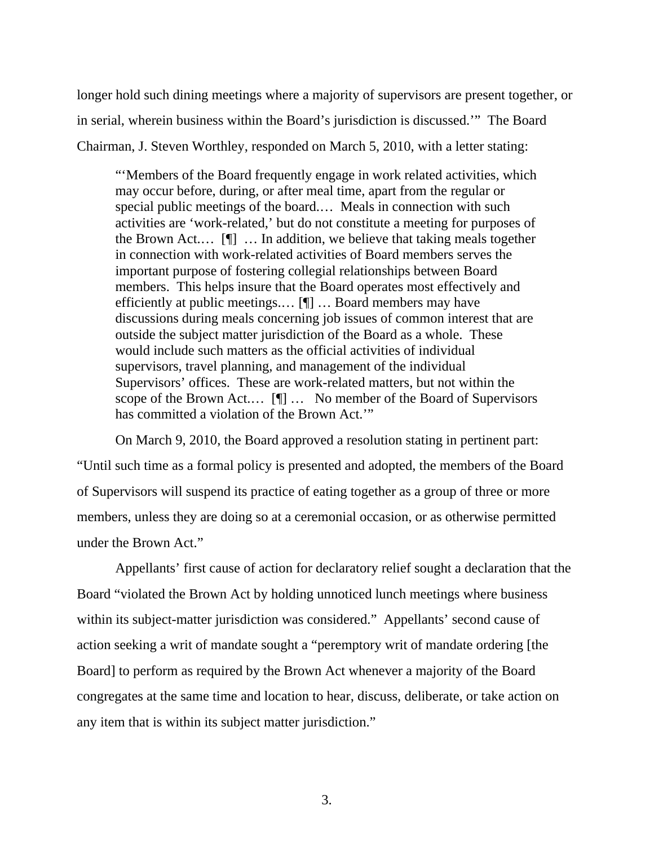longer hold such dining meetings where a majority of supervisors are present together, or in serial, wherein business within the Board's jurisdiction is discussed.'" The Board Chairman, J. Steven Worthley, responded on March 5, 2010, with a letter stating:

"'Members of the Board frequently engage in work related activities, which may occur before, during, or after meal time, apart from the regular or special public meetings of the board.… Meals in connection with such activities are 'work-related,' but do not constitute a meeting for purposes of the Brown Act.… [¶] … In addition, we believe that taking meals together in connection with work-related activities of Board members serves the important purpose of fostering collegial relationships between Board members. This helps insure that the Board operates most effectively and efficiently at public meetings.… [¶] … Board members may have discussions during meals concerning job issues of common interest that are outside the subject matter jurisdiction of the Board as a whole. These would include such matters as the official activities of individual supervisors, travel planning, and management of the individual Supervisors' offices. These are work-related matters, but not within the scope of the Brown Act.… [¶] … No member of the Board of Supervisors has committed a violation of the Brown Act.'"

On March 9, 2010, the Board approved a resolution stating in pertinent part: "Until such time as a formal policy is presented and adopted, the members of the Board of Supervisors will suspend its practice of eating together as a group of three or more members, unless they are doing so at a ceremonial occasion, or as otherwise permitted under the Brown Act."

Appellants' first cause of action for declaratory relief sought a declaration that the Board "violated the Brown Act by holding unnoticed lunch meetings where business within its subject-matter jurisdiction was considered." Appellants' second cause of action seeking a writ of mandate sought a "peremptory writ of mandate ordering [the Board] to perform as required by the Brown Act whenever a majority of the Board congregates at the same time and location to hear, discuss, deliberate, or take action on any item that is within its subject matter jurisdiction."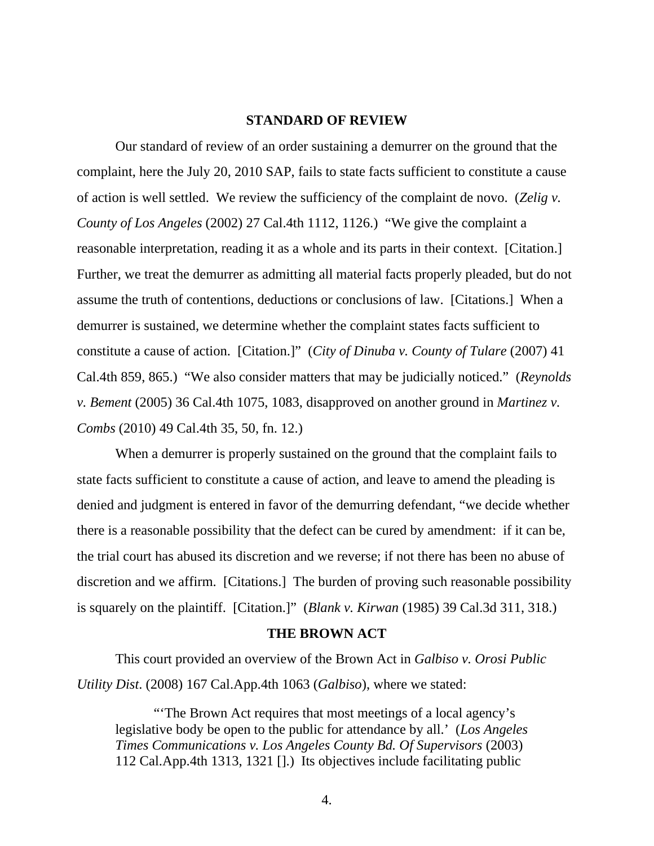#### **STANDARD OF REVIEW**

 Our standard of review of an order sustaining a demurrer on the ground that the complaint, here the July 20, 2010 SAP, fails to state facts sufficient to constitute a cause of action is well settled. We review the sufficiency of the complaint de novo. (*Zelig v. County of Los Angeles* (2002) 27 Cal.4th 1112, 1126.) "We give the complaint a reasonable interpretation, reading it as a whole and its parts in their context. [Citation.] Further, we treat the demurrer as admitting all material facts properly pleaded, but do not assume the truth of contentions, deductions or conclusions of law. [Citations.] When a demurrer is sustained, we determine whether the complaint states facts sufficient to constitute a cause of action. [Citation.]" (*City of Dinuba v. County of Tulare* (2007) 41 Cal.4th 859, 865.) "We also consider matters that may be judicially noticed." (*Reynolds v. Bement* (2005) 36 Cal.4th 1075, 1083, disapproved on another ground in *Martinez v. Combs* (2010) 49 Cal.4th 35, 50, fn. 12.)

 When a demurrer is properly sustained on the ground that the complaint fails to state facts sufficient to constitute a cause of action, and leave to amend the pleading is denied and judgment is entered in favor of the demurring defendant, "we decide whether there is a reasonable possibility that the defect can be cured by amendment: if it can be, the trial court has abused its discretion and we reverse; if not there has been no abuse of discretion and we affirm. [Citations.] The burden of proving such reasonable possibility is squarely on the plaintiff. [Citation.]" (*Blank v. Kirwan* (1985) 39 Cal.3d 311, 318.)

#### **THE BROWN ACT**

 This court provided an overview of the Brown Act in *Galbiso v. Orosi Public Utility Dist*. (2008) 167 Cal.App.4th 1063 (*Galbiso*), where we stated:

"'The Brown Act requires that most meetings of a local agency's legislative body be open to the public for attendance by all.' (*Los Angeles Times Communications v. Los Angeles County Bd. Of Supervisors* (2003) 112 Cal.App.4th 1313, 1321 [].) Its objectives include facilitating public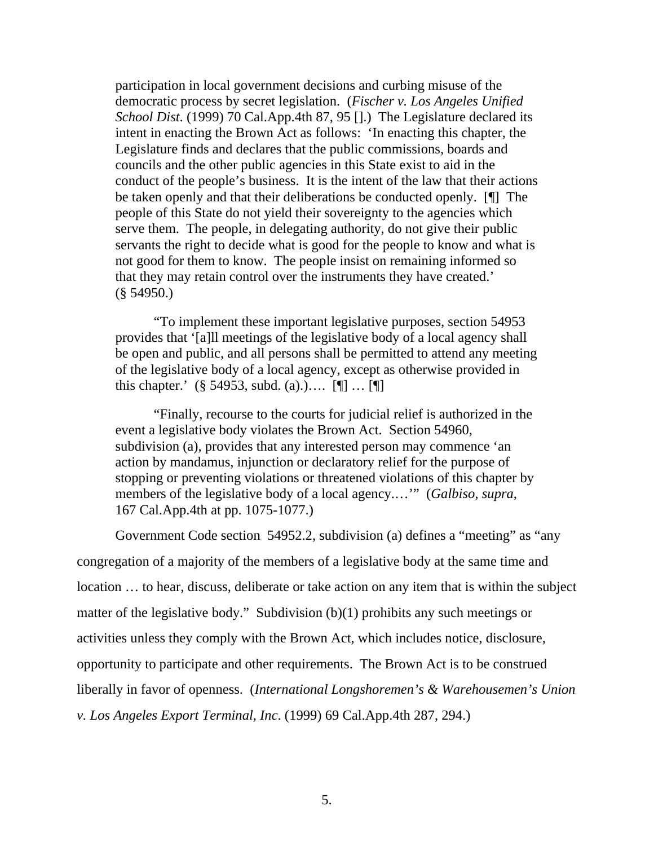participation in local government decisions and curbing misuse of the democratic process by secret legislation. (*Fischer v. Los Angeles Unified School Dist*. (1999) 70 Cal.App.4th 87, 95 [].) The Legislature declared its intent in enacting the Brown Act as follows: 'In enacting this chapter, the Legislature finds and declares that the public commissions, boards and councils and the other public agencies in this State exist to aid in the conduct of the people's business. It is the intent of the law that their actions be taken openly and that their deliberations be conducted openly. [¶] The people of this State do not yield their sovereignty to the agencies which serve them. The people, in delegating authority, do not give their public servants the right to decide what is good for the people to know and what is not good for them to know. The people insist on remaining informed so that they may retain control over the instruments they have created.' (§ 54950.)

 "To implement these important legislative purposes, section 54953 provides that '[a]ll meetings of the legislative body of a local agency shall be open and public, and all persons shall be permitted to attend any meeting of the legislative body of a local agency, except as otherwise provided in this chapter.' (§ 54953, subd. (a)..... [[] ... [[]]

 "Finally, recourse to the courts for judicial relief is authorized in the event a legislative body violates the Brown Act. Section 54960, subdivision (a), provides that any interested person may commence 'an action by mandamus, injunction or declaratory relief for the purpose of stopping or preventing violations or threatened violations of this chapter by members of the legislative body of a local agency.…'" (*Galbiso*, *supra*, 167 Cal.App.4th at pp. 1075-1077.)

Government Code section 54952.2, subdivision (a) defines a "meeting" as "any congregation of a majority of the members of a legislative body at the same time and location … to hear, discuss, deliberate or take action on any item that is within the subject matter of the legislative body." Subdivision (b)(1) prohibits any such meetings or activities unless they comply with the Brown Act, which includes notice, disclosure, opportunity to participate and other requirements. The Brown Act is to be construed liberally in favor of openness. (*International Longshoremen's & Warehousemen's Union v. Los Angeles Export Terminal, Inc*. (1999) 69 Cal.App.4th 287, 294.)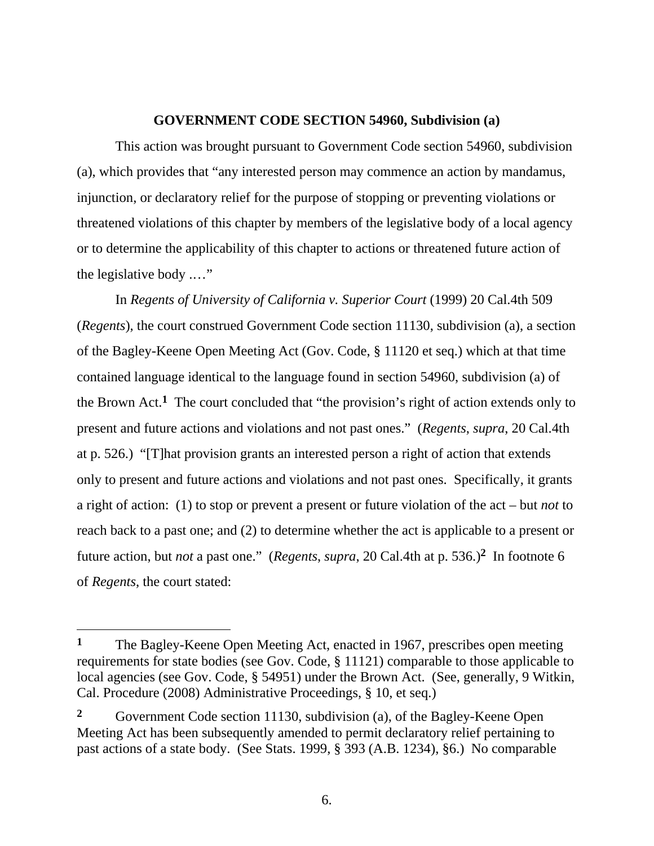### **GOVERNMENT CODE SECTION 54960, Subdivision (a)**

 This action was brought pursuant to Government Code section 54960, subdivision (a), which provides that "any interested person may commence an action by mandamus, injunction, or declaratory relief for the purpose of stopping or preventing violations or threatened violations of this chapter by members of the legislative body of a local agency or to determine the applicability of this chapter to actions or threatened future action of the legislative body .…"

 In *Regents of University of California v. Superior Court* (1999) 20 Cal.4th 509 (*Regents*), the court construed Government Code section 11130, subdivision (a), a section of the Bagley-Keene Open Meeting Act (Gov. Code, § 11120 et seq.) which at that time contained language identical to the language found in section 54960, subdivision (a) of the Brown Act.**1** The court concluded that "the provision's right of action extends only to present and future actions and violations and not past ones." (*Regents*, *supra*, 20 Cal.4th at p. 526.) "[T]hat provision grants an interested person a right of action that extends only to present and future actions and violations and not past ones. Specifically, it grants a right of action: (1) to stop or prevent a present or future violation of the act – but *not* to reach back to a past one; and (2) to determine whether the act is applicable to a present or future action, but *not* a past one." (*Regents*, *supra*, 20 Cal.4th at p. 536.)**2** In footnote 6 of *Regents*, the court stated:

 $\overline{a}$ 

**<sup>1</sup>** The Bagley-Keene Open Meeting Act, enacted in 1967, prescribes open meeting requirements for state bodies (see Gov. Code, § 11121) comparable to those applicable to local agencies (see Gov. Code, § 54951) under the Brown Act. (See, generally, 9 Witkin, Cal. Procedure (2008) Administrative Proceedings, § 10, et seq.)

**<sup>2</sup>** Government Code section 11130, subdivision (a), of the Bagley-Keene Open Meeting Act has been subsequently amended to permit declaratory relief pertaining to past actions of a state body. (See Stats. 1999, § 393 (A.B. 1234), §6.) No comparable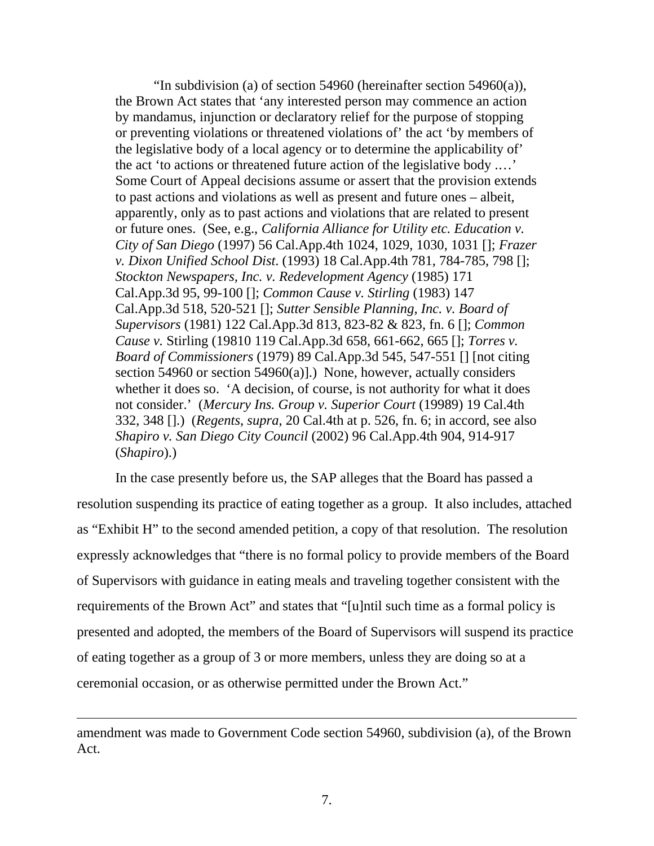"In subdivision (a) of section 54960 (hereinafter section 54960(a)), the Brown Act states that 'any interested person may commence an action by mandamus, injunction or declaratory relief for the purpose of stopping or preventing violations or threatened violations of' the act 'by members of the legislative body of a local agency or to determine the applicability of' the act 'to actions or threatened future action of the legislative body .…' Some Court of Appeal decisions assume or assert that the provision extends to past actions and violations as well as present and future ones – albeit, apparently, only as to past actions and violations that are related to present or future ones. (See, e.g., *California Alliance for Utility etc. Education v. City of San Diego* (1997) 56 Cal.App.4th 1024, 1029, 1030, 1031 []; *Frazer v. Dixon Unified School Dist*. (1993) 18 Cal.App.4th 781, 784-785, 798 []; *Stockton Newspapers, Inc. v. Redevelopment Agency* (1985) 171 Cal.App.3d 95, 99-100 []; *Common Cause v. Stirling* (1983) 147 Cal.App.3d 518, 520-521 []; *Sutter Sensible Planning, Inc. v. Board of Supervisors* (1981) 122 Cal.App.3d 813, 823-82 & 823, fn. 6 []; *Common Cause v.* Stirling (19810 119 Cal.App.3d 658, 661-662, 665 []; *Torres v. Board of Commissioners* (1979) 89 Cal.App.3d 545, 547-551 [] [not citing section 54960 or section 54960(a)].) None, however, actually considers whether it does so. 'A decision, of course, is not authority for what it does not consider.' (*Mercury Ins. Group v. Superior Court* (19989) 19 Cal.4th 332, 348 [].) (*Regents*, *supra*, 20 Cal.4th at p. 526, fn. 6; in accord, see also *Shapiro v. San Diego City Council* (2002) 96 Cal.App.4th 904, 914-917 (*Shapiro*).)

 In the case presently before us, the SAP alleges that the Board has passed a resolution suspending its practice of eating together as a group. It also includes, attached as "Exhibit H" to the second amended petition, a copy of that resolution. The resolution expressly acknowledges that "there is no formal policy to provide members of the Board of Supervisors with guidance in eating meals and traveling together consistent with the requirements of the Brown Act" and states that "[u]ntil such time as a formal policy is presented and adopted, the members of the Board of Supervisors will suspend its practice of eating together as a group of 3 or more members, unless they are doing so at a ceremonial occasion, or as otherwise permitted under the Brown Act."

 $\overline{a}$ 

amendment was made to Government Code section 54960, subdivision (a), of the Brown Act.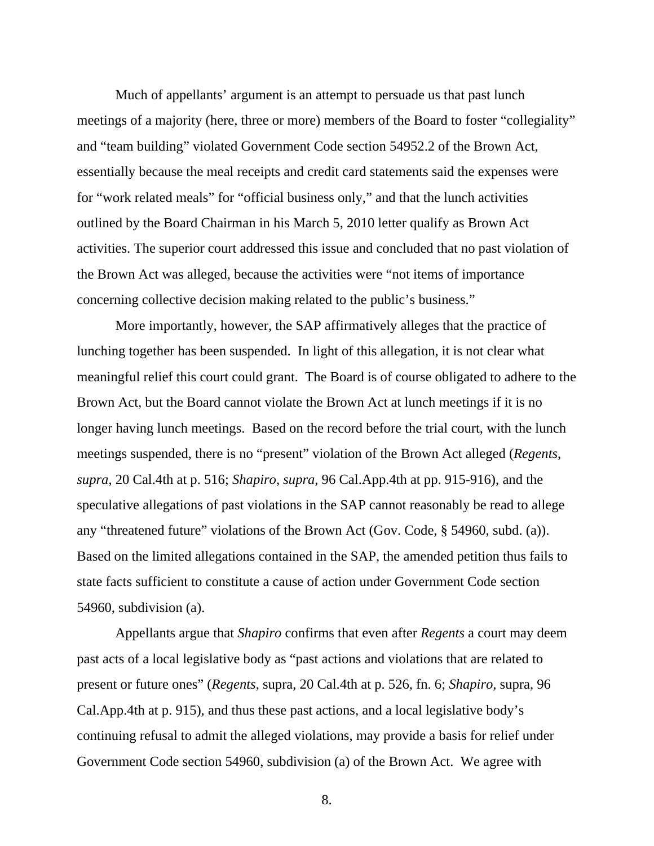Much of appellants' argument is an attempt to persuade us that past lunch meetings of a majority (here, three or more) members of the Board to foster "collegiality" and "team building" violated Government Code section 54952.2 of the Brown Act, essentially because the meal receipts and credit card statements said the expenses were for "work related meals" for "official business only," and that the lunch activities outlined by the Board Chairman in his March 5, 2010 letter qualify as Brown Act activities. The superior court addressed this issue and concluded that no past violation of the Brown Act was alleged, because the activities were "not items of importance concerning collective decision making related to the public's business."

More importantly, however, the SAP affirmatively alleges that the practice of lunching together has been suspended. In light of this allegation, it is not clear what meaningful relief this court could grant. The Board is of course obligated to adhere to the Brown Act, but the Board cannot violate the Brown Act at lunch meetings if it is no longer having lunch meetings. Based on the record before the trial court, with the lunch meetings suspended, there is no "present" violation of the Brown Act alleged (*Regents*, *supra*, 20 Cal.4th at p. 516; *Shapiro*, *supra*, 96 Cal.App.4th at pp. 915-916), and the speculative allegations of past violations in the SAP cannot reasonably be read to allege any "threatened future" violations of the Brown Act (Gov. Code, § 54960, subd. (a)). Based on the limited allegations contained in the SAP, the amended petition thus fails to state facts sufficient to constitute a cause of action under Government Code section 54960, subdivision (a).

Appellants argue that *Shapiro* confirms that even after *Regents* a court may deem past acts of a local legislative body as "past actions and violations that are related to present or future ones" (*Regents*, supra, 20 Cal.4th at p. 526, fn. 6; *Shapiro,* supra, 96 Cal.App.4th at p. 915), and thus these past actions, and a local legislative body's continuing refusal to admit the alleged violations, may provide a basis for relief under Government Code section 54960, subdivision (a) of the Brown Act. We agree with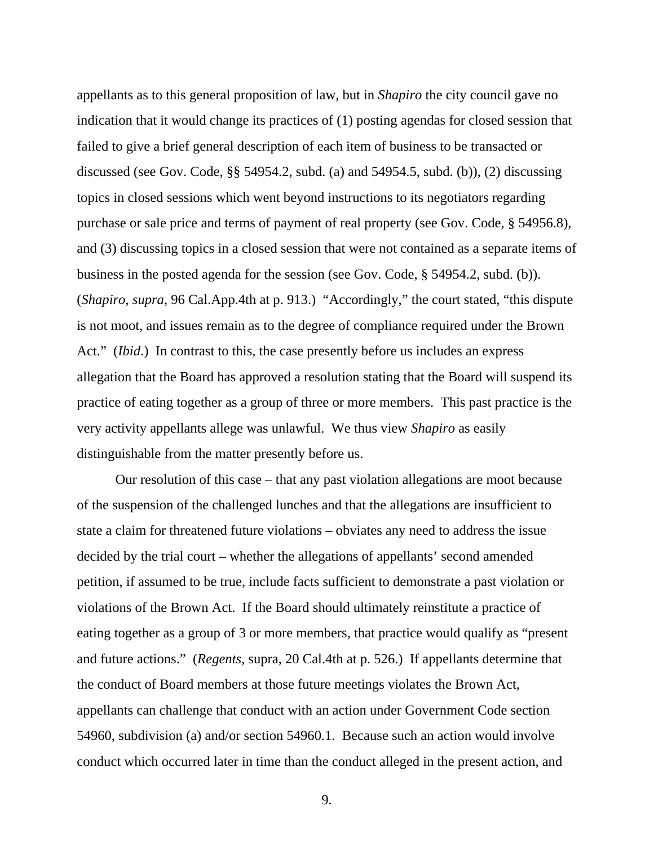appellants as to this general proposition of law, but in *Shapiro* the city council gave no indication that it would change its practices of (1) posting agendas for closed session that failed to give a brief general description of each item of business to be transacted or discussed (see Gov. Code, §§ 54954.2, subd. (a) and 54954.5, subd. (b)), (2) discussing topics in closed sessions which went beyond instructions to its negotiators regarding purchase or sale price and terms of payment of real property (see Gov. Code, § 54956.8), and (3) discussing topics in a closed session that were not contained as a separate items of business in the posted agenda for the session (see Gov. Code, § 54954.2, subd. (b)). (*Shapiro*, *supra*, 96 Cal.App.4th at p. 913.) "Accordingly," the court stated, "this dispute is not moot, and issues remain as to the degree of compliance required under the Brown Act." *(Ibid.)* In contrast to this, the case presently before us includes an express allegation that the Board has approved a resolution stating that the Board will suspend its practice of eating together as a group of three or more members. This past practice is the very activity appellants allege was unlawful. We thus view *Shapiro* as easily distinguishable from the matter presently before us.

Our resolution of this case – that any past violation allegations are moot because of the suspension of the challenged lunches and that the allegations are insufficient to state a claim for threatened future violations – obviates any need to address the issue decided by the trial court – whether the allegations of appellants' second amended petition, if assumed to be true, include facts sufficient to demonstrate a past violation or violations of the Brown Act. If the Board should ultimately reinstitute a practice of eating together as a group of 3 or more members, that practice would qualify as "present and future actions." (*Regents*, supra, 20 Cal.4th at p. 526.) If appellants determine that the conduct of Board members at those future meetings violates the Brown Act, appellants can challenge that conduct with an action under Government Code section 54960, subdivision (a) and/or section 54960.1. Because such an action would involve conduct which occurred later in time than the conduct alleged in the present action, and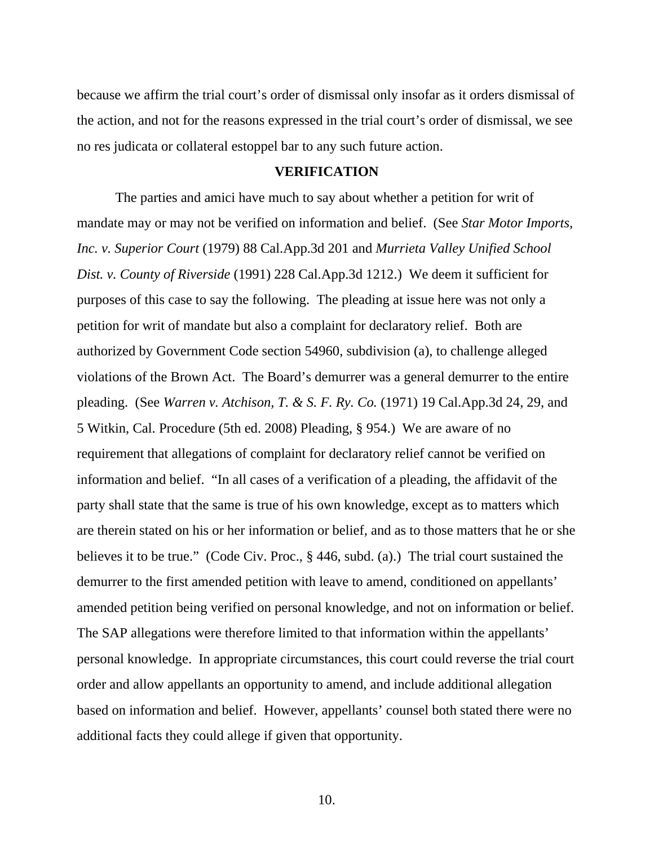because we affirm the trial court's order of dismissal only insofar as it orders dismissal of the action, and not for the reasons expressed in the trial court's order of dismissal, we see no res judicata or collateral estoppel bar to any such future action.

#### **VERIFICATION**

The parties and amici have much to say about whether a petition for writ of mandate may or may not be verified on information and belief. (See *Star Motor Imports, Inc. v. Superior Court* (1979) 88 Cal.App.3d 201 and *Murrieta Valley Unified School Dist. v. County of Riverside* (1991) 228 Cal.App.3d 1212.) We deem it sufficient for purposes of this case to say the following. The pleading at issue here was not only a petition for writ of mandate but also a complaint for declaratory relief. Both are authorized by Government Code section 54960, subdivision (a), to challenge alleged violations of the Brown Act. The Board's demurrer was a general demurrer to the entire pleading. (See *Warren v. Atchison, T. & S. F. Ry. Co.* (1971) 19 Cal.App.3d 24, 29, and 5 Witkin, Cal. Procedure (5th ed. 2008) Pleading, § 954.) We are aware of no requirement that allegations of complaint for declaratory relief cannot be verified on information and belief. "In all cases of a verification of a pleading, the affidavit of the party shall state that the same is true of his own knowledge, except as to matters which are therein stated on his or her information or belief, and as to those matters that he or she believes it to be true." (Code Civ. Proc., § 446, subd. (a).) The trial court sustained the demurrer to the first amended petition with leave to amend, conditioned on appellants' amended petition being verified on personal knowledge, and not on information or belief. The SAP allegations were therefore limited to that information within the appellants' personal knowledge. In appropriate circumstances, this court could reverse the trial court order and allow appellants an opportunity to amend, and include additional allegation based on information and belief. However, appellants' counsel both stated there were no additional facts they could allege if given that opportunity.